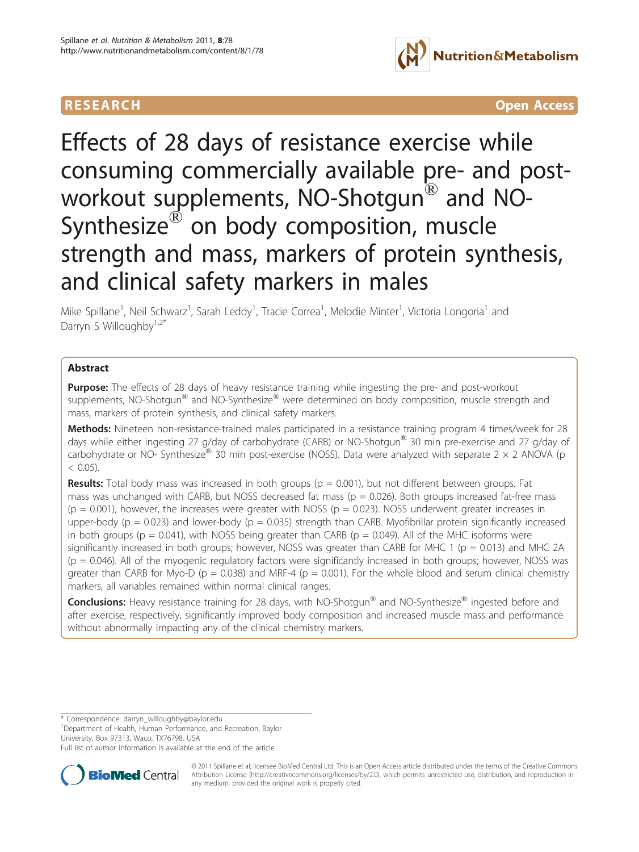

**RESEARCH CONTROL** CONTROL CONTROL CONTROL CONTROL CONTROL CONTROL CONTROL CONTROL CONTROL CONTROL CONTROL CONTROL CONTROL CONTROL CONTROL CONTROL CONTROL CONTROL CONTROL CONTROL CONTROL CONTROL CONTROL CONTROL CONTROL CON

Effects of 28 days of resistance exercise while consuming commercially available pre- and postworkout supplements, NO-Shotgun® and NO-Synthesize<sup>®</sup> on body composition, muscle strength and mass, markers of protein synthesis, and clinical safety markers in males

Mike Spillane<sup>1</sup>, Neil Schwarz<sup>1</sup>, Sarah Leddy<sup>1</sup>, Tracie Correa<sup>1</sup>, Melodie Minter<sup>1</sup>, Victoria Longoria<sup>1</sup> and Darryn S Willoughby $1,2^*$ 

# Abstract

Purpose: The effects of 28 days of heavy resistance training while ingesting the pre- and post-workout supplements, NO-Shotgun<sup>®</sup> and NO-Synthesize<sup>®</sup> were determined on body composition, muscle strength and mass, markers of protein synthesis, and clinical safety markers.

Methods: Nineteen non-resistance-trained males participated in a resistance training program 4 times/week for 28 days while either ingesting 27 g/day of carbohydrate (CARB) or NO-Shotgun® 30 min pre-exercise and 27 g/day of carbohydrate or NO- Synthesize<sup>®</sup> 30 min post-exercise (NOSS). Data were analyzed with separate 2  $\times$  2 ANOVA (p  $< 0.05$ ).

**Results:** Total body mass was increased in both groups ( $p = 0.001$ ), but not different between groups. Fat mass was unchanged with CARB, but NOSS decreased fat mass ( $p = 0.026$ ). Both groups increased fat-free mass ( $p = 0.001$ ); however, the increases were greater with NOSS ( $p = 0.023$ ). NOSS underwent greater increases in upper-body ( $p = 0.023$ ) and lower-body ( $p = 0.035$ ) strength than CARB. Myofibrillar protein significantly increased in both groups ( $p = 0.041$ ), with NOSS being greater than CARB ( $p = 0.049$ ). All of the MHC isoforms were significantly increased in both groups; however, NOSS was greater than CARB for MHC 1 ( $p = 0.013$ ) and MHC 2A  $(p = 0.046)$ . All of the myogenic regulatory factors were significantly increased in both groups; however, NOSS was greater than CARB for Myo-D ( $p = 0.038$ ) and MRF-4 ( $p = 0.001$ ). For the whole blood and serum clinical chemistry markers, all variables remained within normal clinical ranges.

Conclusions: Heavy resistance training for 28 days, with NO-Shotgun® and NO-Synthesize® ingested before and after exercise, respectively, significantly improved body composition and increased muscle mass and performance without abnormally impacting any of the clinical chemistry markers.

\* Correspondence: [darryn\\_willoughby@baylor.edu](mailto:darryn_willoughby@baylor.edu)

<sup>1</sup>Department of Health, Human Performance, and Recreation, Baylor University, Box 97313, Waco, TX76798, USA

Full list of author information is available at the end of the article



© 2011 Spillane et al; licensee BioMed Central Ltd. This is an Open Access article distributed under the terms of the Creative Commons Attribution License [\(http://creativecommons.org/licenses/by/2.0](http://creativecommons.org/licenses/by/2.0)), which permits unrestricted use, distribution, and reproduction in any medium, provided the original work is properly cited.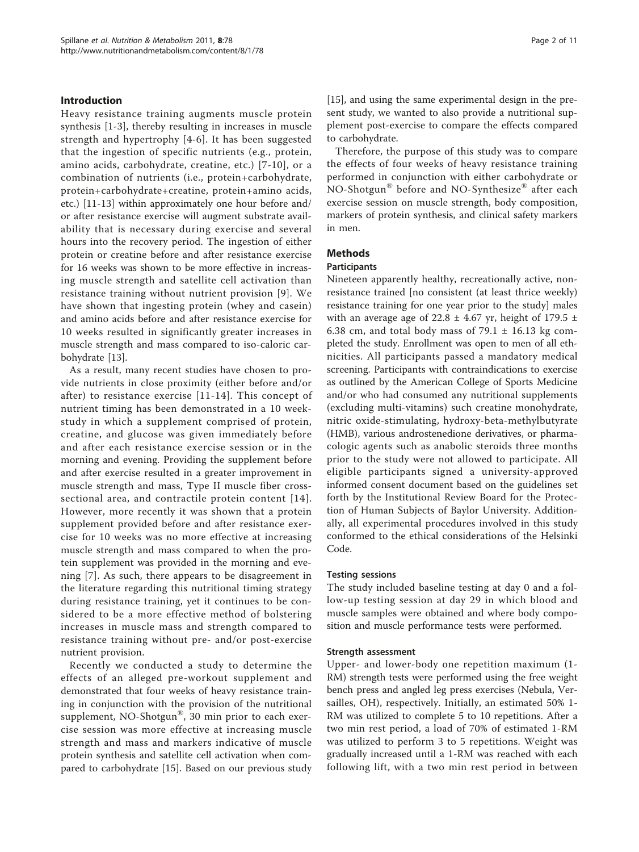#### Introduction

Heavy resistance training augments muscle protein synthesis [[1-3](#page-10-0)], thereby resulting in increases in muscle strength and hypertrophy [[4](#page-10-0)-[6](#page-10-0)]. It has been suggested that the ingestion of specific nutrients (e.g., protein, amino acids, carbohydrate, creatine, etc.) [[7-10\]](#page-10-0), or a combination of nutrients (i.e., protein+carbohydrate, protein+carbohydrate+creatine, protein+amino acids, etc.) [[11-13\]](#page-10-0) within approximately one hour before and/ or after resistance exercise will augment substrate availability that is necessary during exercise and several hours into the recovery period. The ingestion of either protein or creatine before and after resistance exercise for 16 weeks was shown to be more effective in increasing muscle strength and satellite cell activation than resistance training without nutrient provision [[9\]](#page-10-0). We have shown that ingesting protein (whey and casein) and amino acids before and after resistance exercise for 10 weeks resulted in significantly greater increases in muscle strength and mass compared to iso-caloric carbohydrate [[13](#page-10-0)].

As a result, many recent studies have chosen to provide nutrients in close proximity (either before and/or after) to resistance exercise [[11-14](#page-10-0)]. This concept of nutrient timing has been demonstrated in a 10 weekstudy in which a supplement comprised of protein, creatine, and glucose was given immediately before and after each resistance exercise session or in the morning and evening. Providing the supplement before and after exercise resulted in a greater improvement in muscle strength and mass, Type II muscle fiber crosssectional area, and contractile protein content [[14\]](#page-10-0). However, more recently it was shown that a protein supplement provided before and after resistance exercise for 10 weeks was no more effective at increasing muscle strength and mass compared to when the protein supplement was provided in the morning and evening [\[7](#page-10-0)]. As such, there appears to be disagreement in the literature regarding this nutritional timing strategy during resistance training, yet it continues to be considered to be a more effective method of bolstering increases in muscle mass and strength compared to resistance training without pre- and/or post-exercise nutrient provision.

Recently we conducted a study to determine the effects of an alleged pre-workout supplement and demonstrated that four weeks of heavy resistance training in conjunction with the provision of the nutritional supplement, NO-Shotgun<sup>®</sup>, 30 min prior to each exercise session was more effective at increasing muscle strength and mass and markers indicative of muscle protein synthesis and satellite cell activation when compared to carbohydrate [\[15\]](#page-10-0). Based on our previous study [[15\]](#page-10-0), and using the same experimental design in the present study, we wanted to also provide a nutritional supplement post-exercise to compare the effects compared to carbohydrate.

Therefore, the purpose of this study was to compare the effects of four weeks of heavy resistance training performed in conjunction with either carbohydrate or NO-Shotgun® before and NO-Synthesize® after each exercise session on muscle strength, body composition, markers of protein synthesis, and clinical safety markers in men.

## Methods

#### **Participants**

Nineteen apparently healthy, recreationally active, nonresistance trained [no consistent (at least thrice weekly) resistance training for one year prior to the study] males with an average age of 22.8  $\pm$  4.67 yr, height of 179.5  $\pm$ 6.38 cm, and total body mass of  $79.1 \pm 16.13$  kg completed the study. Enrollment was open to men of all ethnicities. All participants passed a mandatory medical screening. Participants with contraindications to exercise as outlined by the American College of Sports Medicine and/or who had consumed any nutritional supplements (excluding multi-vitamins) such creatine monohydrate, nitric oxide-stimulating, hydroxy-beta-methylbutyrate (HMB), various androstenedione derivatives, or pharmacologic agents such as anabolic steroids three months prior to the study were not allowed to participate. All eligible participants signed a university-approved informed consent document based on the guidelines set forth by the Institutional Review Board for the Protection of Human Subjects of Baylor University. Additionally, all experimental procedures involved in this study conformed to the ethical considerations of the Helsinki Code.

#### Testing sessions

The study included baseline testing at day 0 and a follow-up testing session at day 29 in which blood and muscle samples were obtained and where body composition and muscle performance tests were performed.

#### Strength assessment

Upper- and lower-body one repetition maximum (1- RM) strength tests were performed using the free weight bench press and angled leg press exercises (Nebula, Versailles, OH), respectively. Initially, an estimated 50% 1- RM was utilized to complete 5 to 10 repetitions. After a two min rest period, a load of 70% of estimated 1-RM was utilized to perform 3 to 5 repetitions. Weight was gradually increased until a 1-RM was reached with each following lift, with a two min rest period in between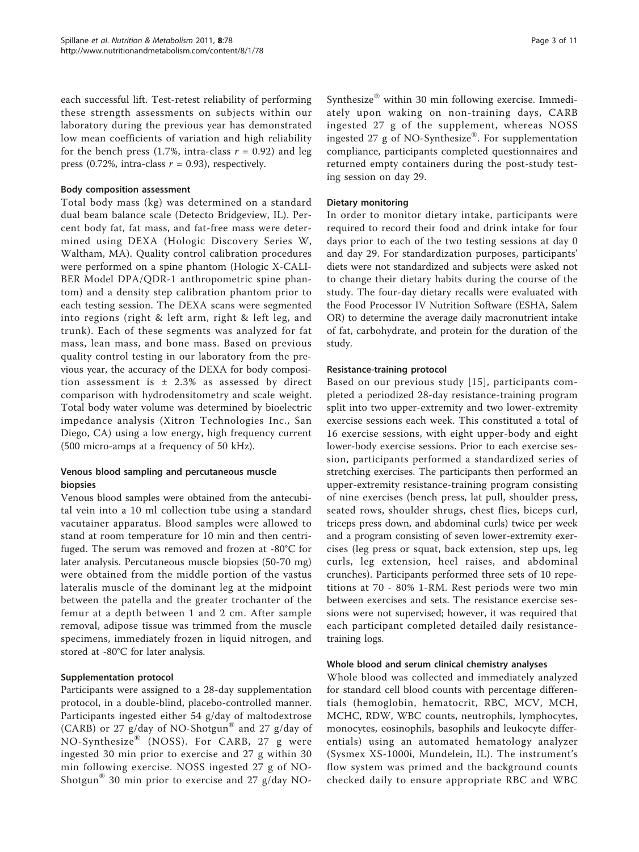each successful lift. Test-retest reliability of performing these strength assessments on subjects within our laboratory during the previous year has demonstrated low mean coefficients of variation and high reliability for the bench press (1.7%, intra-class  $r = 0.92$ ) and leg press (0.72%, intra-class  $r = 0.93$ ), respectively.

# Body composition assessment

Total body mass (kg) was determined on a standard dual beam balance scale (Detecto Bridgeview, IL). Percent body fat, fat mass, and fat-free mass were determined using DEXA (Hologic Discovery Series W, Waltham, MA). Quality control calibration procedures were performed on a spine phantom (Hologic X-CALI-BER Model DPA/QDR-1 anthropometric spine phantom) and a density step calibration phantom prior to each testing session. The DEXA scans were segmented into regions (right & left arm, right & left leg, and trunk). Each of these segments was analyzed for fat mass, lean mass, and bone mass. Based on previous quality control testing in our laboratory from the previous year, the accuracy of the DEXA for body composition assessment is  $\pm$  2.3% as assessed by direct comparison with hydrodensitometry and scale weight. Total body water volume was determined by bioelectric impedance analysis (Xitron Technologies Inc., San Diego, CA) using a low energy, high frequency current (500 micro-amps at a frequency of 50 kHz).

# Venous blood sampling and percutaneous muscle biopsies

Venous blood samples were obtained from the antecubital vein into a 10 ml collection tube using a standard vacutainer apparatus. Blood samples were allowed to stand at room temperature for 10 min and then centrifuged. The serum was removed and frozen at -80°C for later analysis. Percutaneous muscle biopsies (50-70 mg) were obtained from the middle portion of the vastus lateralis muscle of the dominant leg at the midpoint between the patella and the greater trochanter of the femur at a depth between 1 and 2 cm. After sample removal, adipose tissue was trimmed from the muscle specimens, immediately frozen in liquid nitrogen, and stored at -80°C for later analysis.

# Supplementation protocol

Participants were assigned to a 28-day supplementation protocol, in a double-blind, placebo-controlled manner. Participants ingested either 54 g/day of maltodextrose (CARB) or 27 g/day of NO-Shotgun<sup>®</sup> and 27 g/day of NO-Synthesize® (NOSS). For CARB, 27 g were ingested 30 min prior to exercise and 27 g within 30 min following exercise. NOSS ingested 27 g of NO-Shotgun® 30 min prior to exercise and 27 g/day NO- Synthesize® within 30 min following exercise. Immediately upon waking on non-training days, CARB ingested 27 g of the supplement, whereas NOSS ingested 27 g of NO-Synthesize<sup>®</sup>. For supplementation compliance, participants completed questionnaires and returned empty containers during the post-study testing session on day 29.

#### Dietary monitoring

In order to monitor dietary intake, participants were required to record their food and drink intake for four days prior to each of the two testing sessions at day 0 and day 29. For standardization purposes, participants' diets were not standardized and subjects were asked not to change their dietary habits during the course of the study. The four-day dietary recalls were evaluated with the Food Processor IV Nutrition Software (ESHA, Salem OR) to determine the average daily macronutrient intake of fat, carbohydrate, and protein for the duration of the study.

#### Resistance-training protocol

Based on our previous study [[15](#page-10-0)], participants completed a periodized 28-day resistance-training program split into two upper-extremity and two lower-extremity exercise sessions each week. This constituted a total of 16 exercise sessions, with eight upper-body and eight lower-body exercise sessions. Prior to each exercise session, participants performed a standardized series of stretching exercises. The participants then performed an upper-extremity resistance-training program consisting of nine exercises (bench press, lat pull, shoulder press, seated rows, shoulder shrugs, chest flies, biceps curl, triceps press down, and abdominal curls) twice per week and a program consisting of seven lower-extremity exercises (leg press or squat, back extension, step ups, leg curls, leg extension, heel raises, and abdominal crunches). Participants performed three sets of 10 repetitions at 70 - 80% 1-RM. Rest periods were two min between exercises and sets. The resistance exercise sessions were not supervised; however, it was required that each participant completed detailed daily resistancetraining logs.

#### Whole blood and serum clinical chemistry analyses

Whole blood was collected and immediately analyzed for standard cell blood counts with percentage differentials (hemoglobin, hematocrit, RBC, MCV, MCH, MCHC, RDW, WBC counts, neutrophils, lymphocytes, monocytes, eosinophils, basophils and leukocyte differentials) using an automated hematology analyzer (Sysmex XS-1000i, Mundelein, IL). The instrument's flow system was primed and the background counts checked daily to ensure appropriate RBC and WBC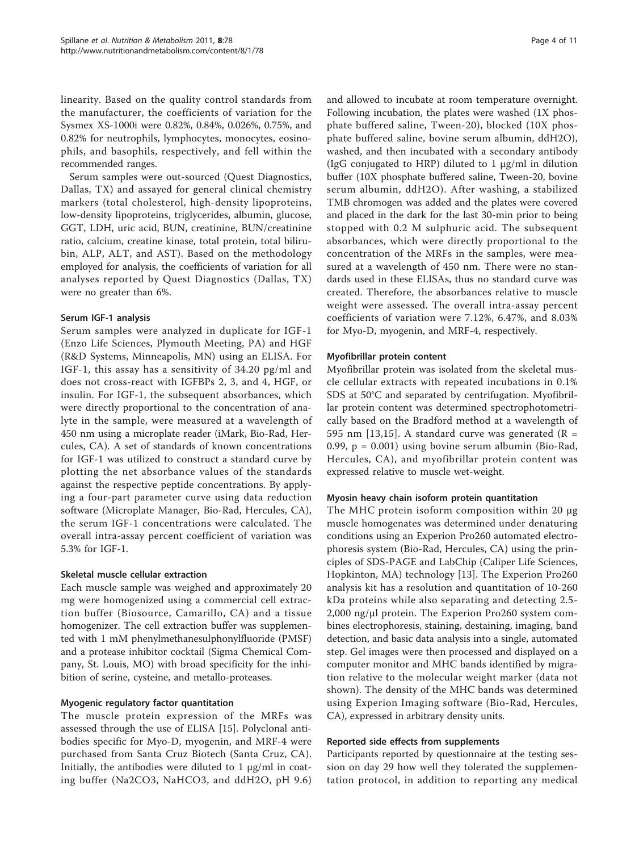linearity. Based on the quality control standards from the manufacturer, the coefficients of variation for the Sysmex XS-1000i were 0.82%, 0.84%, 0.026%, 0.75%, and 0.82% for neutrophils, lymphocytes, monocytes, eosinophils, and basophils, respectively, and fell within the recommended ranges.

Serum samples were out-sourced (Quest Diagnostics, Dallas, TX) and assayed for general clinical chemistry markers (total cholesterol, high-density lipoproteins, low-density lipoproteins, triglycerides, albumin, glucose, GGT, LDH, uric acid, BUN, creatinine, BUN/creatinine ratio, calcium, creatine kinase, total protein, total bilirubin, ALP, ALT, and AST). Based on the methodology employed for analysis, the coefficients of variation for all analyses reported by Quest Diagnostics (Dallas, TX) were no greater than 6%.

## Serum IGF-1 analysis

Serum samples were analyzed in duplicate for IGF-1 (Enzo Life Sciences, Plymouth Meeting, PA) and HGF (R&D Systems, Minneapolis, MN) using an ELISA. For IGF-1, this assay has a sensitivity of 34.20 pg/ml and does not cross-react with IGFBPs 2, 3, and 4, HGF, or insulin. For IGF-1, the subsequent absorbances, which were directly proportional to the concentration of analyte in the sample, were measured at a wavelength of 450 nm using a microplate reader (iMark, Bio-Rad, Hercules, CA). A set of standards of known concentrations for IGF-1 was utilized to construct a standard curve by plotting the net absorbance values of the standards against the respective peptide concentrations. By applying a four-part parameter curve using data reduction software (Microplate Manager, Bio-Rad, Hercules, CA), the serum IGF-1 concentrations were calculated. The overall intra-assay percent coefficient of variation was 5.3% for IGF-1.

#### Skeletal muscle cellular extraction

Each muscle sample was weighed and approximately 20 mg were homogenized using a commercial cell extraction buffer (Biosource, Camarillo, CA) and a tissue homogenizer. The cell extraction buffer was supplemented with 1 mM phenylmethanesulphonylfluoride (PMSF) and a protease inhibitor cocktail (Sigma Chemical Company, St. Louis, MO) with broad specificity for the inhibition of serine, cysteine, and metallo-proteases.

# Myogenic regulatory factor quantitation

The muscle protein expression of the MRFs was assessed through the use of ELISA [\[15](#page-10-0)]. Polyclonal antibodies specific for Myo-D, myogenin, and MRF-4 were purchased from Santa Cruz Biotech (Santa Cruz, CA). Initially, the antibodies were diluted to  $1 \mu g/ml$  in coating buffer (Na2CO3, NaHCO3, and ddH2O, pH 9.6) and allowed to incubate at room temperature overnight. Following incubation, the plates were washed (1X phosphate buffered saline, Tween-20), blocked (10X phosphate buffered saline, bovine serum albumin, ddH2O), washed, and then incubated with a secondary antibody (IgG conjugated to HRP) diluted to 1 μg/ml in dilution buffer (10X phosphate buffered saline, Tween-20, bovine serum albumin, ddH2O). After washing, a stabilized TMB chromogen was added and the plates were covered and placed in the dark for the last 30-min prior to being stopped with 0.2 M sulphuric acid. The subsequent absorbances, which were directly proportional to the concentration of the MRFs in the samples, were measured at a wavelength of 450 nm. There were no standards used in these ELISAs, thus no standard curve was created. Therefore, the absorbances relative to muscle weight were assessed. The overall intra-assay percent coefficients of variation were 7.12%, 6.47%, and 8.03% for Myo-D, myogenin, and MRF-4, respectively.

## Myofibrillar protein content

Myofibrillar protein was isolated from the skeletal muscle cellular extracts with repeated incubations in 0.1% SDS at 50°C and separated by centrifugation. Myofibrillar protein content was determined spectrophotometrically based on the Bradford method at a wavelength of 595 nm [[13,15\]](#page-10-0). A standard curve was generated ( $\mathbb{R} =$ 0.99,  $p = 0.001$ ) using bovine serum albumin (Bio-Rad, Hercules, CA), and myofibrillar protein content was expressed relative to muscle wet-weight.

#### Myosin heavy chain isoform protein quantitation

The MHC protein isoform composition within 20 μg muscle homogenates was determined under denaturing conditions using an Experion Pro260 automated electrophoresis system (Bio-Rad, Hercules, CA) using the principles of SDS-PAGE and LabChip (Caliper Life Sciences, Hopkinton, MA) technology [[13](#page-10-0)]. The Experion Pro260 analysis kit has a resolution and quantitation of 10-260 kDa proteins while also separating and detecting 2.5- 2,000 ng/μl protein. The Experion Pro260 system combines electrophoresis, staining, destaining, imaging, band detection, and basic data analysis into a single, automated step. Gel images were then processed and displayed on a computer monitor and MHC bands identified by migration relative to the molecular weight marker (data not shown). The density of the MHC bands was determined using Experion Imaging software (Bio-Rad, Hercules, CA), expressed in arbitrary density units.

#### Reported side effects from supplements

Participants reported by questionnaire at the testing session on day 29 how well they tolerated the supplementation protocol, in addition to reporting any medical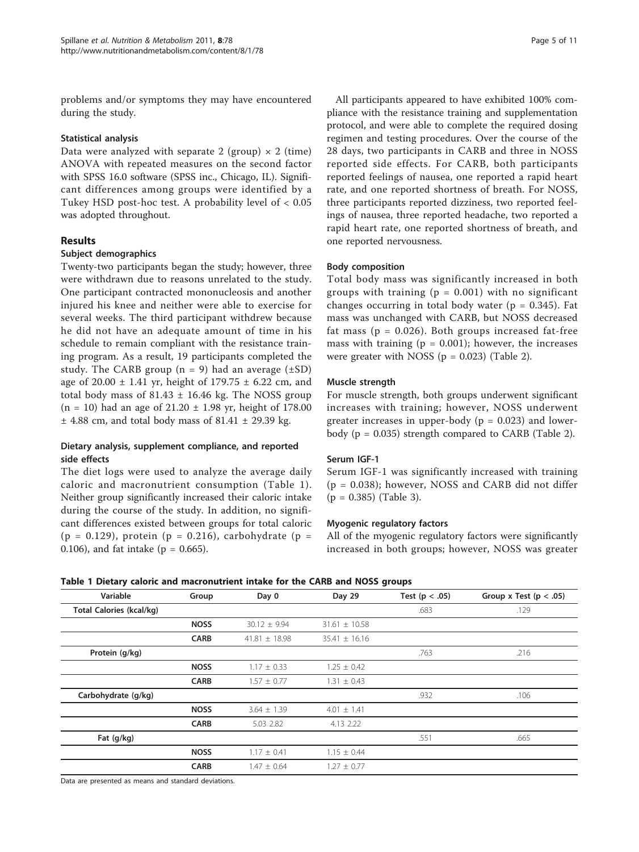problems and/or symptoms they may have encountered during the study.

## Statistical analysis

Data were analyzed with separate 2 (group)  $\times$  2 (time) ANOVA with repeated measures on the second factor with SPSS 16.0 software (SPSS inc., Chicago, IL). Significant differences among groups were identified by a Tukey HSD post-hoc test. A probability level of < 0.05 was adopted throughout.

# Results

## Subject demographics

Twenty-two participants began the study; however, three were withdrawn due to reasons unrelated to the study. One participant contracted mononucleosis and another injured his knee and neither were able to exercise for several weeks. The third participant withdrew because he did not have an adequate amount of time in his schedule to remain compliant with the resistance training program. As a result, 19 participants completed the study. The CARB group ( $n = 9$ ) had an average ( $\pm$ SD) age of 20.00  $\pm$  1.41 yr, height of 179.75  $\pm$  6.22 cm, and total body mass of  $81.43 \pm 16.46$  kg. The NOSS group  $(n = 10)$  had an age of 21.20  $\pm$  1.98 yr, height of 178.00  $\pm$  4.88 cm, and total body mass of 81.41  $\pm$  29.39 kg.

# Dietary analysis, supplement compliance, and reported side effects

The diet logs were used to analyze the average daily caloric and macronutrient consumption (Table 1). Neither group significantly increased their caloric intake during the course of the study. In addition, no significant differences existed between groups for total caloric (p = 0.129), protein (p = 0.216), carbohydrate (p = 0.106), and fat intake ( $p = 0.665$ ).

All participants appeared to have exhibited 100% compliance with the resistance training and supplementation protocol, and were able to complete the required dosing regimen and testing procedures. Over the course of the 28 days, two participants in CARB and three in NOSS reported side effects. For CARB, both participants reported feelings of nausea, one reported a rapid heart rate, and one reported shortness of breath. For NOSS, three participants reported dizziness, two reported feelings of nausea, three reported headache, two reported a rapid heart rate, one reported shortness of breath, and one reported nervousness.

## Body composition

Total body mass was significantly increased in both groups with training  $(p = 0.001)$  with no significant changes occurring in total body water ( $p = 0.345$ ). Fat mass was unchanged with CARB, but NOSS decreased fat mass ( $p = 0.026$ ). Both groups increased fat-free mass with training ( $p = 0.001$ ); however, the increases were greater with NOSS ( $p = 0.023$ ) (Table [2\)](#page-5-0).

## Muscle strength

For muscle strength, both groups underwent significant increases with training; however, NOSS underwent greater increases in upper-body ( $p = 0.023$ ) and lowerbody ( $p = 0.035$ ) strength compared to CARB (Table [2\)](#page-5-0).

# Serum IGF-1

Serum IGF-1 was significantly increased with training (p = 0.038); however, NOSS and CARB did not differ  $(p = 0.385)$  (Table [3](#page-6-0)).

#### Myogenic regulatory factors

All of the myogenic regulatory factors were significantly increased in both groups; however, NOSS was greater

| Variable                        | Group       | Day 0             | Day 29            | Test ( $p < .05$ ) | Group x Test ( $p < .05$ ) |
|---------------------------------|-------------|-------------------|-------------------|--------------------|----------------------------|
| <b>Total Calories (kcal/kg)</b> |             |                   |                   | .683               | .129                       |
|                                 | <b>NOSS</b> | $30.12 \pm 9.94$  | $31.61 \pm 10.58$ |                    |                            |
|                                 | <b>CARB</b> | $41.81 \pm 18.98$ | $35.41 \pm 16.16$ |                    |                            |
| Protein (g/kg)                  |             |                   |                   | .763               | .216                       |
|                                 | <b>NOSS</b> | $1.17 \pm 0.33$   | $1.25 \pm 0.42$   |                    |                            |
|                                 | <b>CARB</b> | $1.57 \pm 0.77$   | $1.31 \pm 0.43$   |                    |                            |
| Carbohydrate (g/kg)             |             |                   |                   | .932               | .106                       |
|                                 | <b>NOSS</b> | $3.64 \pm 1.39$   | $4.01 \pm 1.41$   |                    |                            |
|                                 | <b>CARB</b> | 5.03 2.82         | 4.13 2.22         |                    |                            |
| Fat (g/kg)                      |             |                   |                   | .551               | .665                       |
|                                 | <b>NOSS</b> | $1.17 \pm 0.41$   | $1.15 \pm 0.44$   |                    |                            |
|                                 | <b>CARB</b> | $1.47 \pm 0.64$   | $1.27 \pm 0.77$   |                    |                            |

#### Table 1 Dietary caloric and macronutrient intake for the CARB and NOSS groups

Data are presented as means and standard deviations.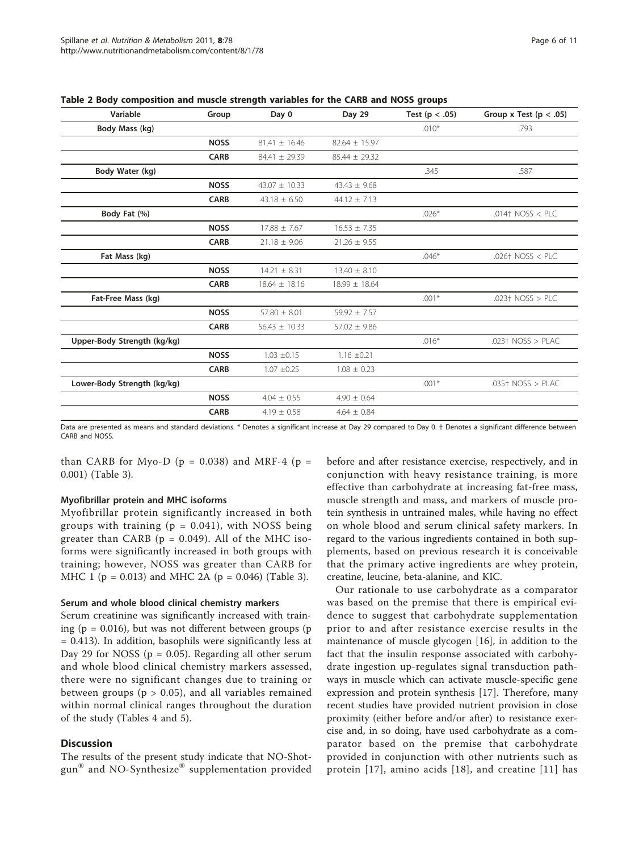| Variable                    | Group       | Day 0             | Day 29            | Test ( $p < .05$ ) | Group x Test ( $p < .05$ ) |
|-----------------------------|-------------|-------------------|-------------------|--------------------|----------------------------|
| Body Mass (kg)              |             |                   |                   | $.010*$            | .793                       |
|                             | <b>NOSS</b> | $81.41 \pm 16.46$ | $82.64 \pm 15.97$ |                    |                            |
|                             | <b>CARB</b> | 84.41 ± 29.39     | $85.44 \pm 29.32$ |                    |                            |
| Body Water (kg)             |             |                   |                   | .345               | .587                       |
|                             | <b>NOSS</b> | $43.07 \pm 10.33$ | $43.43 \pm 9.68$  |                    |                            |
|                             | <b>CARB</b> | $43.18 \pm 6.50$  | $44.12 \pm 7.13$  |                    |                            |
| Body Fat (%)                |             |                   |                   | $.026*$            | $.014$ NOSS < PLC          |
|                             | <b>NOSS</b> | $17.88 \pm 7.67$  | $16.53 \pm 7.35$  |                    |                            |
|                             | <b>CARB</b> | $21.18 \pm 9.06$  | $21.26 \pm 9.55$  |                    |                            |
| Fat Mass (kg)               |             |                   |                   | $.046*$            | $.026+ NOSS < PLC$         |
|                             | <b>NOSS</b> | $14.21 \pm 8.31$  | $13.40 \pm 8.10$  |                    |                            |
|                             | <b>CARB</b> | $18.64 \pm 18.16$ | $18.99 \pm 18.64$ |                    |                            |
| Fat-Free Mass (kg)          |             |                   |                   | $.001*$            | $.023+ NOSS > PLC$         |
|                             | <b>NOSS</b> | $57.80 \pm 8.01$  | $59.92 \pm 7.57$  |                    |                            |
|                             | <b>CARB</b> | $56.43 \pm 10.33$ | $57.02 \pm 9.86$  |                    |                            |
| Upper-Body Strength (kg/kg) |             |                   |                   | $.016*$            | $.023+ NOSS > PLAC$        |
|                             | <b>NOSS</b> | $1.03 \pm 0.15$   | $1.16 \pm 0.21$   |                    |                            |
|                             | <b>CARB</b> | $1.07 \pm 0.25$   | $1.08 \pm 0.23$   |                    |                            |
| Lower-Body Strength (kg/kg) |             |                   |                   | $.001*$            | $.035+$ NOSS $>$ PLAC      |
|                             | <b>NOSS</b> | $4.04 \pm 0.55$   | $4.90 \pm 0.64$   |                    |                            |
|                             | <b>CARB</b> | $4.19 \pm 0.58$   | $4.64 \pm 0.84$   |                    |                            |

<span id="page-5-0"></span>Table 2 Body composition and muscle strength variables for the CARB and NOSS groups

Data are presented as means and standard deviations. \* Denotes a significant increase at Day 29 compared to Day 0. † Denotes a significant difference between CARB and NOSS.

than CARB for Myo-D ( $p = 0.038$ ) and MRF-4 ( $p =$ 0.001) (Table [3\)](#page-6-0).

# Myofibrillar protein and MHC isoforms

Myofibrillar protein significantly increased in both groups with training  $(p = 0.041)$ , with NOSS being greater than CARB ( $p = 0.049$ ). All of the MHC isoforms were significantly increased in both groups with training; however, NOSS was greater than CARB for MHC 1 ( $p = 0.013$ ) and MHC 2A ( $p = 0.046$ ) (Table [3](#page-6-0)).

#### Serum and whole blood clinical chemistry markers

Serum creatinine was significantly increased with training ( $p = 0.016$ ), but was not different between groups ( $p$ = 0.413). In addition, basophils were significantly less at Day 29 for NOSS ( $p = 0.05$ ). Regarding all other serum and whole blood clinical chemistry markers assessed, there were no significant changes due to training or between groups ( $p > 0.05$ ), and all variables remained within normal clinical ranges throughout the duration of the study (Tables [4](#page-7-0) and [5](#page-8-0)).

#### **Discussion**

The results of the present study indicate that NO-Shotgun® and NO-Synthesize® supplementation provided

before and after resistance exercise, respectively, and in conjunction with heavy resistance training, is more effective than carbohydrate at increasing fat-free mass, muscle strength and mass, and markers of muscle protein synthesis in untrained males, while having no effect on whole blood and serum clinical safety markers. In regard to the various ingredients contained in both supplements, based on previous research it is conceivable that the primary active ingredients are whey protein, creatine, leucine, beta-alanine, and KIC.

Our rationale to use carbohydrate as a comparator was based on the premise that there is empirical evidence to suggest that carbohydrate supplementation prior to and after resistance exercise results in the maintenance of muscle glycogen [[16](#page-10-0)], in addition to the fact that the insulin response associated with carbohydrate ingestion up-regulates signal transduction pathways in muscle which can activate muscle-specific gene expression and protein synthesis [[17\]](#page-10-0). Therefore, many recent studies have provided nutrient provision in close proximity (either before and/or after) to resistance exercise and, in so doing, have used carbohydrate as a comparator based on the premise that carbohydrate provided in conjunction with other nutrients such as protein [[17](#page-10-0)], amino acids [[18\]](#page-10-0), and creatine [[11](#page-10-0)] has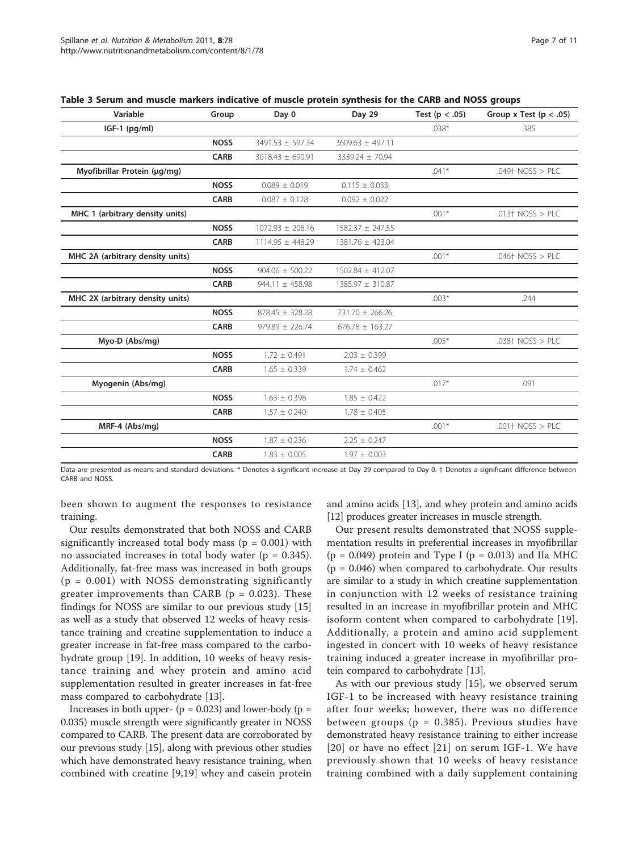| Group       | Day 0                | Day 29               | Test ( $p < .05$ ) | Group x Test ( $p < .05$ ) |
|-------------|----------------------|----------------------|--------------------|----------------------------|
|             |                      |                      | $.038*$            | .385                       |
| <b>NOSS</b> | 3491.53 ± 597.34     | $3609.63 \pm 497.11$ |                    |                            |
| <b>CARB</b> | $3018.43 \pm 690.91$ | 3339.24 ± 70.94      |                    |                            |
|             |                      |                      | $.041*$            | $.049+ NOSS > PLC$         |
| <b>NOSS</b> | $0.089 \pm 0.019$    | $0.115 \pm 0.033$    |                    |                            |
| <b>CARB</b> | $0.087 \pm 0.128$    | $0.092 \pm 0.022$    |                    |                            |
|             |                      |                      | $.001*$            | .013 $\dagger$ NOSS > PLC  |
| <b>NOSS</b> | $1072.93 \pm 206.16$ | $1582.37 \pm 247.55$ |                    |                            |
| <b>CARB</b> | 1114.95 ± 448.29     | 1381.76 ± 423.04     |                    |                            |
|             |                      |                      | $.001*$            | $.046+ NOSS > PLC$         |
| <b>NOSS</b> | $904.06 \pm 500.22$  | 1502.84 ± 412.07     |                    |                            |
| <b>CARB</b> | $944.11 \pm 458.98$  | 1385.97 ± 310.87     |                    |                            |
|             |                      |                      | $.003*$            | .244                       |
| <b>NOSS</b> | $878.45 \pm 328.28$  | 731.70 ± 266.26      |                    |                            |
| <b>CARB</b> | $979.89 \pm 226.74$  | $676.78 \pm 163.27$  |                    |                            |
|             |                      |                      | $.005*$            | $.038+$ NOSS > PLC         |
| <b>NOSS</b> | $1.72 \pm 0.491$     | $2.03 \pm 0.399$     |                    |                            |
| <b>CARB</b> | $1.65 \pm 0.339$     | $1.74 \pm 0.462$     |                    |                            |
|             |                      |                      | $.017*$            | .091                       |
| <b>NOSS</b> | $1.63 \pm 0.398$     | $1.85 \pm 0.422$     |                    |                            |
| <b>CARB</b> | $1.57 \pm 0.240$     | $1.78 \pm 0.405$     |                    |                            |
|             |                      |                      | $.001*$            | $.001+$ NOSS > PLC         |
| <b>NOSS</b> | $1.87 \pm 0.236$     | $2.25 \pm 0.247$     |                    |                            |
| <b>CARB</b> | $1.83 \pm 0.005$     | $1.97 \pm 0.003$     |                    |                            |
|             |                      |                      |                    |                            |

<span id="page-6-0"></span>

Data are presented as means and standard deviations. \* Denotes a significant increase at Day 29 compared to Day 0. † Denotes a significant difference between CARB and NOSS.

been shown to augment the responses to resistance training.

Our results demonstrated that both NOSS and CARB significantly increased total body mass ( $p = 0.001$ ) with no associated increases in total body water ( $p = 0.345$ ). Additionally, fat-free mass was increased in both groups  $(p = 0.001)$  with NOSS demonstrating significantly greater improvements than CARB ( $p = 0.023$ ). These findings for NOSS are similar to our previous study [[15](#page-10-0)] as well as a study that observed 12 weeks of heavy resistance training and creatine supplementation to induce a greater increase in fat-free mass compared to the carbohydrate group [\[19\]](#page-10-0). In addition, 10 weeks of heavy resistance training and whey protein and amino acid supplementation resulted in greater increases in fat-free mass compared to carbohydrate [\[13](#page-10-0)].

Increases in both upper- ( $p = 0.023$ ) and lower-body ( $p =$ 0.035) muscle strength were significantly greater in NOSS compared to CARB. The present data are corroborated by our previous study [\[15\]](#page-10-0), along with previous other studies which have demonstrated heavy resistance training, when combined with creatine [[9,19](#page-10-0)] whey and casein protein and amino acids [\[13](#page-10-0)], and whey protein and amino acids [[12](#page-10-0)] produces greater increases in muscle strength.

Our present results demonstrated that NOSS supplementation results in preferential increases in myofibrillar  $(p = 0.049)$  protein and Type I  $(p = 0.013)$  and IIa MHC  $(p = 0.046)$  when compared to carbohydrate. Our results are similar to a study in which creatine supplementation in conjunction with 12 weeks of resistance training resulted in an increase in myofibrillar protein and MHC isoform content when compared to carbohydrate [[19](#page-10-0)]. Additionally, a protein and amino acid supplement ingested in concert with 10 weeks of heavy resistance training induced a greater increase in myofibrillar protein compared to carbohydrate [[13\]](#page-10-0).

As with our previous study [[15\]](#page-10-0), we observed serum IGF-1 to be increased with heavy resistance training after four weeks; however, there was no difference between groups ( $p = 0.385$ ). Previous studies have demonstrated heavy resistance training to either increase [[20\]](#page-10-0) or have no effect [[21](#page-10-0)] on serum IGF-1. We have previously shown that 10 weeks of heavy resistance training combined with a daily supplement containing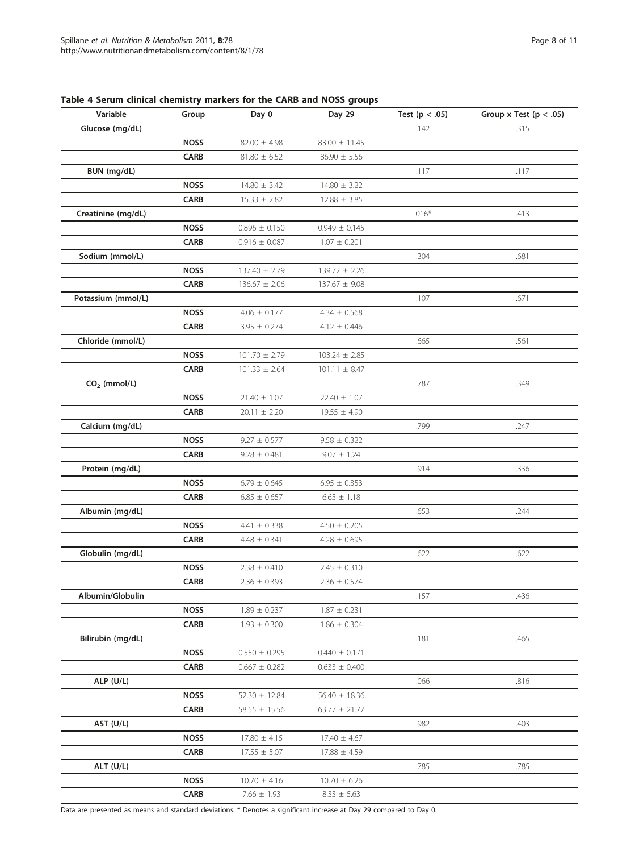| Variable           | Group       | Day 0             | Day 29            | Test ( $p < .05$ ) | Group x Test ( $p < .05$ ) |
|--------------------|-------------|-------------------|-------------------|--------------------|----------------------------|
| Glucose (mg/dL)    |             |                   |                   | .142               | .315                       |
|                    | <b>NOSS</b> | $82.00 \pm 4.98$  | $83.00 \pm 11.45$ |                    |                            |
|                    | <b>CARB</b> | $81.80 \pm 6.52$  | $86.90 \pm 5.56$  |                    |                            |
| BUN (mg/dL)        |             |                   |                   | .117               | .117                       |
|                    | <b>NOSS</b> | $14.80 \pm 3.42$  | $14.80 \pm 3.22$  |                    |                            |
|                    | <b>CARB</b> | $15.33 \pm 2.82$  | $12.88 \pm 3.85$  |                    |                            |
| Creatinine (mg/dL) |             |                   |                   | $.016*$            | .413                       |
|                    | <b>NOSS</b> | $0.896 \pm 0.150$ | $0.949 \pm 0.145$ |                    |                            |
|                    | <b>CARB</b> | $0.916 \pm 0.087$ | $1.07 \pm 0.201$  |                    |                            |
| Sodium (mmol/L)    |             |                   |                   | .304               | .681                       |
|                    | <b>NOSS</b> | $137.40 \pm 2.79$ | $139.72 \pm 2.26$ |                    |                            |
|                    | <b>CARB</b> | $136.67 \pm 2.06$ | $137.67 \pm 9.08$ |                    |                            |
| Potassium (mmol/L) |             |                   |                   | .107               | .671                       |
|                    | <b>NOSS</b> | $4.06 \pm 0.177$  | $4.34 \pm 0.568$  |                    |                            |
|                    | <b>CARB</b> | $3.95 \pm 0.274$  | $4.12 \pm 0.446$  |                    |                            |
| Chloride (mmol/L)  |             |                   |                   | .665               | .561                       |
|                    | <b>NOSS</b> | $101.70 \pm 2.79$ | $103.24 \pm 2.85$ |                    |                            |
|                    | <b>CARB</b> | $101.33 \pm 2.64$ | $101.11 \pm 8.47$ |                    |                            |
| $CO2$ (mmol/L)     |             |                   |                   | .787               | .349                       |
|                    | <b>NOSS</b> | $21.40 \pm 1.07$  | $22.40 \pm 1.07$  |                    |                            |
|                    | <b>CARB</b> | $20.11 \pm 2.20$  | $19.55 \pm 4.90$  |                    |                            |
| Calcium (mg/dL)    |             |                   |                   | .799               | .247                       |
|                    | <b>NOSS</b> | $9.27 \pm 0.577$  | $9.58 \pm 0.322$  |                    |                            |
|                    | <b>CARB</b> | $9.28 \pm 0.481$  | $9.07 \pm 1.24$   |                    |                            |
| Protein (mg/dL)    |             |                   |                   | .914               | .336                       |
|                    | <b>NOSS</b> | $6.79 \pm 0.645$  | $6.95 \pm 0.353$  |                    |                            |
|                    | <b>CARB</b> | $6.85 \pm 0.657$  | $6.65 \pm 1.18$   |                    |                            |
| Albumin (mg/dL)    |             |                   |                   | .653               | .244                       |
|                    | <b>NOSS</b> | 4.41 $\pm$ 0.338  | $4.50 \pm 0.205$  |                    |                            |
|                    | <b>CARB</b> | $4.48 \pm 0.341$  | $4.28 \pm 0.695$  |                    |                            |
| Globulin (mg/dL)   |             |                   |                   | .622               | .622                       |
|                    | <b>NOSS</b> | $2.38 \pm 0.410$  | $2.45 \pm 0.310$  |                    |                            |
|                    | <b>CARB</b> | $2.36 \pm 0.393$  | $2.36 \pm 0.574$  |                    |                            |
| Albumin/Globulin   |             |                   |                   | .157               | .436                       |
|                    | <b>NOSS</b> | $1.89 \pm 0.237$  | $1.87 \pm 0.231$  |                    |                            |
|                    | <b>CARB</b> | $1.93 \pm 0.300$  | $1.86 \pm 0.304$  |                    |                            |
| Bilirubin (mg/dL)  |             |                   |                   | .181               | .465                       |
|                    | <b>NOSS</b> | $0.550 \pm 0.295$ | $0.440 \pm 0.171$ |                    |                            |
|                    | <b>CARB</b> | $0.667 \pm 0.282$ | $0.633 \pm 0.400$ |                    |                            |
| ALP (U/L)          |             |                   |                   | .066               | .816                       |
|                    | <b>NOSS</b> | $52.30 \pm 12.84$ | $56.40 \pm 18.36$ |                    |                            |
|                    | <b>CARB</b> | $58.55 \pm 15.56$ | $63.77 \pm 21.77$ |                    |                            |
| AST (U/L)          |             |                   |                   | .982               | .403                       |
|                    | <b>NOSS</b> | $17.80 \pm 4.15$  | $17.40 \pm 4.67$  |                    |                            |
|                    | <b>CARB</b> | $17.55 \pm 5.07$  | $17.88 \pm 4.59$  |                    |                            |
| ALT (U/L)          |             |                   |                   | .785               | .785                       |
|                    | <b>NOSS</b> | $10.70 \pm 4.16$  | $10.70 \pm 6.26$  |                    |                            |
|                    | CARB        | $7.66 \pm 1.93$   | $8.33 \pm 5.63$   |                    |                            |

# <span id="page-7-0"></span>Table 4 Serum clinical chemistry markers for the CARB and NOSS groups

Data are presented as means and standard deviations. \* Denotes a significant increase at Day 29 compared to Day 0.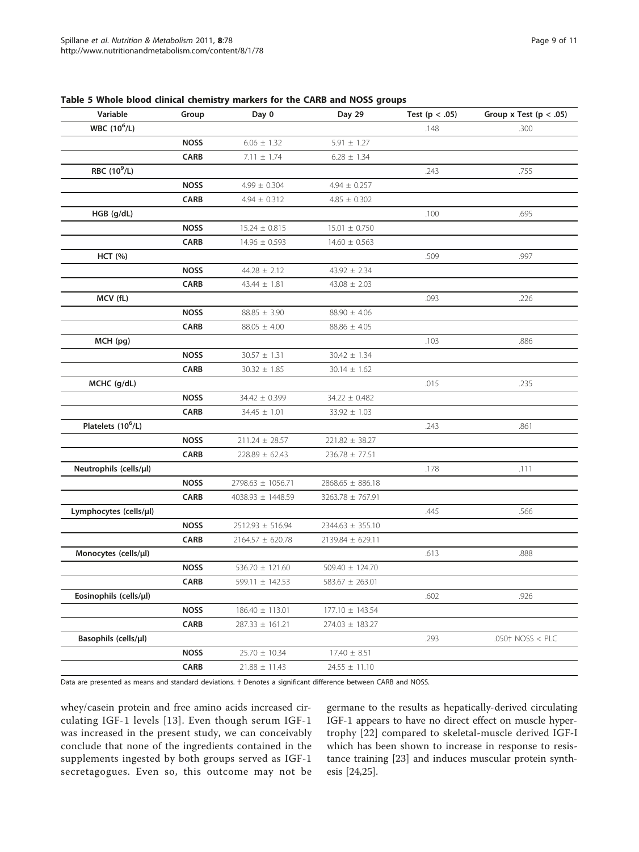| Variable                        | Group       | Day 0                 | Day 29               | Test ( $p < .05$ ) | Group x Test ( $p < .05$ ) |
|---------------------------------|-------------|-----------------------|----------------------|--------------------|----------------------------|
| <b>WBC</b> (10 <sup>6</sup> /L) |             |                       |                      | .148               | .300                       |
|                                 | <b>NOSS</b> | $6.06 \pm 1.32$       | $5.91 \pm 1.27$      |                    |                            |
|                                 | <b>CARB</b> | $7.11 \pm 1.74$       | $6.28 \pm 1.34$      |                    |                            |
| RBC (10 <sup>9</sup> /L)        |             |                       |                      | .243               | .755                       |
|                                 | <b>NOSS</b> | $4.99 \pm 0.304$      | $4.94 \pm 0.257$     |                    |                            |
|                                 | <b>CARB</b> | $4.94 \pm 0.312$      | $4.85 \pm 0.302$     |                    |                            |
| $HGB$ (g/dL)                    |             |                       |                      | .100               | .695                       |
|                                 | <b>NOSS</b> | $15.24 \pm 0.815$     | $15.01 \pm 0.750$    |                    |                            |
|                                 | <b>CARB</b> | $14.96 \pm 0.593$     | $14.60 \pm 0.563$    |                    |                            |
| <b>HCT</b> (%)                  |             |                       |                      | .509               | .997                       |
|                                 | <b>NOSS</b> | $44.28 \pm 2.12$      | $43.92 \pm 2.34$     |                    |                            |
|                                 | <b>CARB</b> | $43.44 \pm 1.81$      | $43.08 \pm 2.03$     |                    |                            |
| MCV (fL)                        |             |                       |                      | .093               | .226                       |
|                                 | <b>NOSS</b> | $88.85 \pm 3.90$      | $88.90 \pm 4.06$     |                    |                            |
|                                 | <b>CARB</b> | $88.05 \pm 4.00$      | $88.86 \pm 4.05$     |                    |                            |
| MCH (pg)                        |             |                       |                      | .103               | .886                       |
|                                 | <b>NOSS</b> | $30.57 \pm 1.31$      | $30.42 \pm 1.34$     |                    |                            |
|                                 | <b>CARB</b> | $30.32 \pm 1.85$      | $30.14 \pm 1.62$     |                    |                            |
| MCHC (g/dL)                     |             |                       |                      | .015               | .235                       |
|                                 | <b>NOSS</b> | 34.42 ± 0.399         | $34.22 \pm 0.482$    |                    |                            |
|                                 | <b>CARB</b> | $34.45 \pm 1.01$      | $33.92 \pm 1.03$     |                    |                            |
| Platelets (10 <sup>6</sup> /L)  |             |                       |                      | .243               | .861                       |
|                                 | <b>NOSS</b> | $211.24 \pm 28.57$    | $221.82 \pm 38.27$   |                    |                            |
|                                 | <b>CARB</b> | $228.89 \pm 62.43$    | $236.78 \pm 77.51$   |                    |                            |
| Neutrophils (cells/µl)          |             |                       |                      | .178               | .111                       |
|                                 | <b>NOSS</b> | 2798.63 ± 1056.71     | $2868.65 \pm 886.18$ |                    |                            |
|                                 | <b>CARB</b> | $4038.93 \pm 1448.59$ | 3263.78 ± 767.91     |                    |                            |
| Lymphocytes (cells/µl)          |             |                       |                      | .445               | .566                       |
|                                 | <b>NOSS</b> | $2512.93 \pm 516.94$  | $2344.63 \pm 355.10$ |                    |                            |
|                                 | <b>CARB</b> | $2164.57 \pm 620.78$  | 2139.84 ± 629.11     |                    |                            |
| Monocytes (cells/µl)            |             |                       |                      | .613               | .888                       |
|                                 | <b>NOSS</b> | 536.70 $\pm$ 121.60   | 509.40 ± 124.70      |                    |                            |
|                                 | <b>CARB</b> | 599.11 ± 142.53       | $583.67 \pm 263.01$  |                    |                            |
| Eosinophils (cells/µl)          |             |                       |                      | .602               | .926                       |
|                                 | <b>NOSS</b> | 186.40 ± 113.01       | 177.10 ± 143.54      |                    |                            |
|                                 | CARB        | $287.33 \pm 161.21$   | $274.03 \pm 183.27$  |                    |                            |
| Basophils (cells/µl)            |             |                       |                      | .293               | .050 $†$ NOSS < PLC        |
|                                 | <b>NOSS</b> | $25.70 \pm 10.34$     | $17.40 \pm 8.51$     |                    |                            |
|                                 | CARB        | $21.88 \pm 11.43$     | $24.55 \pm 11.10$    |                    |                            |

<span id="page-8-0"></span>Table 5 Whole blood clinical chemistry markers for the CARB and NOSS groups

Data are presented as means and standard deviations. † Denotes a significant difference between CARB and NOSS.

whey/casein protein and free amino acids increased circulating IGF-1 levels [[13](#page-10-0)]. Even though serum IGF-1 was increased in the present study, we can conceivably conclude that none of the ingredients contained in the supplements ingested by both groups served as IGF-1 secretagogues. Even so, this outcome may not be

germane to the results as hepatically-derived circulating IGF-1 appears to have no direct effect on muscle hypertrophy [\[22](#page-10-0)] compared to skeletal-muscle derived IGF-I which has been shown to increase in response to resistance training [[23\]](#page-10-0) and induces muscular protein synthesis [[24,25](#page-10-0)].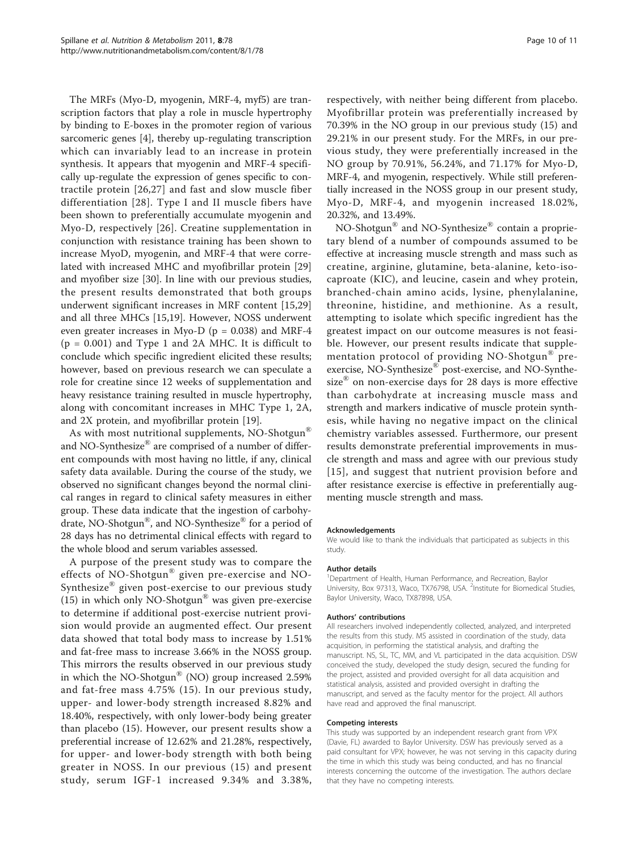The MRFs (Myo-D, myogenin, MRF-4, myf5) are transcription factors that play a role in muscle hypertrophy by binding to E-boxes in the promoter region of various sarcomeric genes [\[4](#page-10-0)], thereby up-regulating transcription which can invariably lead to an increase in protein synthesis. It appears that myogenin and MRF-4 specifically up-regulate the expression of genes specific to contractile protein [[26,27](#page-10-0)] and fast and slow muscle fiber differentiation [[28\]](#page-10-0). Type I and II muscle fibers have been shown to preferentially accumulate myogenin and Myo-D, respectively [[26](#page-10-0)]. Creatine supplementation in conjunction with resistance training has been shown to increase MyoD, myogenin, and MRF-4 that were correlated with increased MHC and myofibrillar protein [\[29](#page-10-0)] and myofiber size [[30\]](#page-10-0). In line with our previous studies, the present results demonstrated that both groups underwent significant increases in MRF content [\[15,29](#page-10-0)] and all three MHCs [[15,19\]](#page-10-0). However, NOSS underwent even greater increases in Myo-D ( $p = 0.038$ ) and MRF-4  $(p = 0.001)$  and Type 1 and 2A MHC. It is difficult to conclude which specific ingredient elicited these results; however, based on previous research we can speculate a role for creatine since 12 weeks of supplementation and heavy resistance training resulted in muscle hypertrophy, along with concomitant increases in MHC Type 1, 2A, and 2X protein, and myofibrillar protein [\[19\]](#page-10-0).

As with most nutritional supplements, NO-Shotgun® and NO-Synthesize<sup>®</sup> are comprised of a number of different compounds with most having no little, if any, clinical safety data available. During the course of the study, we observed no significant changes beyond the normal clinical ranges in regard to clinical safety measures in either group. These data indicate that the ingestion of carbohydrate, NO-Shotgun®, and NO-Synthesize® for a period of 28 days has no detrimental clinical effects with regard to the whole blood and serum variables assessed.

A purpose of the present study was to compare the effects of NO-Shotgun® given pre-exercise and NO-Synthesize® given post-exercise to our previous study (15) in which only NO-Shotgun<sup>®</sup> was given pre-exercise to determine if additional post-exercise nutrient provision would provide an augmented effect. Our present data showed that total body mass to increase by 1.51% and fat-free mass to increase 3.66% in the NOSS group. This mirrors the results observed in our previous study in which the NO-Shotgun® (NO) group increased 2.59% and fat-free mass 4.75% (15). In our previous study, upper- and lower-body strength increased 8.82% and 18.40%, respectively, with only lower-body being greater than placebo (15). However, our present results show a preferential increase of 12.62% and 21.28%, respectively, for upper- and lower-body strength with both being greater in NOSS. In our previous (15) and present study, serum IGF-1 increased 9.34% and 3.38%,

respectively, with neither being different from placebo. Myofibrillar protein was preferentially increased by 70.39% in the NO group in our previous study (15) and 29.21% in our present study. For the MRFs, in our previous study, they were preferentially increased in the NO group by 70.91%, 56.24%, and 71.17% for Myo-D, MRF-4, and myogenin, respectively. While still preferentially increased in the NOSS group in our present study, Myo-D, MRF-4, and myogenin increased 18.02%, 20.32%, and 13.49%.

NO-Shotgun® and NO-Synthesize® contain a proprietary blend of a number of compounds assumed to be effective at increasing muscle strength and mass such as creatine, arginine, glutamine, beta-alanine, keto-isocaproate (KIC), and leucine, casein and whey protein, branched-chain amino acids, lysine, phenylalanine, threonine, histidine, and methionine. As a result, attempting to isolate which specific ingredient has the greatest impact on our outcome measures is not feasible. However, our present results indicate that supplementation protocol of providing NO-Shotgun® preexercise, NO-Synthesize® post-exercise, and NO-Synthesize<sup>®</sup> on non-exercise days for 28 days is more effective than carbohydrate at increasing muscle mass and strength and markers indicative of muscle protein synthesis, while having no negative impact on the clinical chemistry variables assessed. Furthermore, our present results demonstrate preferential improvements in muscle strength and mass and agree with our previous study [[15\]](#page-10-0), and suggest that nutrient provision before and after resistance exercise is effective in preferentially augmenting muscle strength and mass.

#### Acknowledgements

We would like to thank the individuals that participated as subjects in this study.

#### Author details

<sup>1</sup>Department of Health, Human Performance, and Recreation, Baylor University, Box 97313, Waco, TX76798, USA. <sup>2</sup>Institute for Biomedical Studies Baylor University, Waco, TX87898, USA.

#### Authors' contributions

All researchers involved independently collected, analyzed, and interpreted the results from this study. MS assisted in coordination of the study, data acquisition, in performing the statistical analysis, and drafting the manuscript. NS, SL, TC, MM, and VL participated in the data acquisition. DSW conceived the study, developed the study design, secured the funding for the project, assisted and provided oversight for all data acquisition and statistical analysis, assisted and provided oversight in drafting the manuscript, and served as the faculty mentor for the project. All authors have read and approved the final manuscript.

#### Competing interests

This study was supported by an independent research grant from VPX (Davie, FL) awarded to Baylor University. DSW has previously served as a paid consultant for VPX; however, he was not serving in this capacity during the time in which this study was being conducted, and has no financial interests concerning the outcome of the investigation. The authors declare that they have no competing interests.